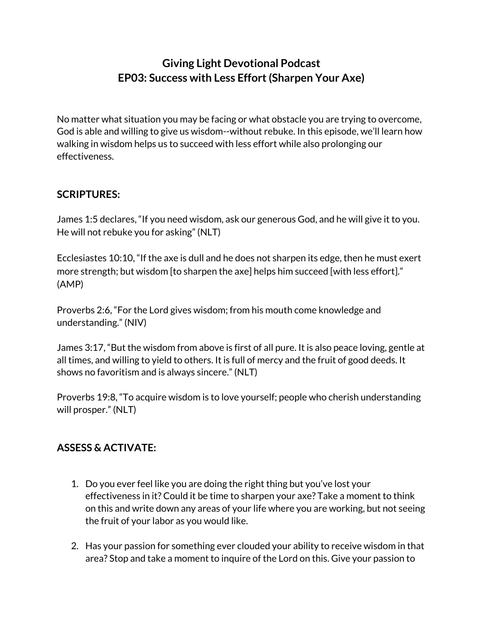## **Giving Light Devotional Podcast EP03: Success with Less Effort(Sharpen Your Axe)**

No matter what situation you may be facing or what obstacle you are trying to overcome, God is able and willing to give us wisdom--without rebuke. In this episode, we'll learn how walking in wisdom helps us to succeed with less effort while also prolonging our effectiveness.

## **SCRIPTURES:**

James 1:5 declares, "If you need wisdom, ask our generous God, and he will give it to you. He will not rebuke you for asking" (NLT)

Ecclesiastes 10:10, "If the axe is dull and he does not sharpen its edge, then he must exert more strength; but wisdom [to sharpen the axe] helps him succeed [with less effort]." (AMP)

Proverbs 2:6, "For the Lord gives wisdom; from his mouth come knowledge and understanding." (NIV)

James 3:17, "But the wisdom from above is first of all pure. It is also peace loving, gentle at all times, and willing to yield to others. It is full of mercy and the fruit of good deeds. It shows no favoritism and is always sincere." (NLT)

Proverbs 19:8, "To acquire wisdom is to love yourself; people who cherish understanding will prosper." (NLT)

## **ASSESS & ACTIVATE:**

- 1. Do you ever feel like you are doing the right thing but you've lost your effectiveness in it? Could it be time to sharpen your axe? Take a moment to think on this and write down any areas of your life where you are working, but not seeing the fruit of your labor as you would like.
- 2. Has your passion for something ever clouded your ability to receive wisdom in that area? Stop and take a moment to inquire of the Lord on this. Give your passion to